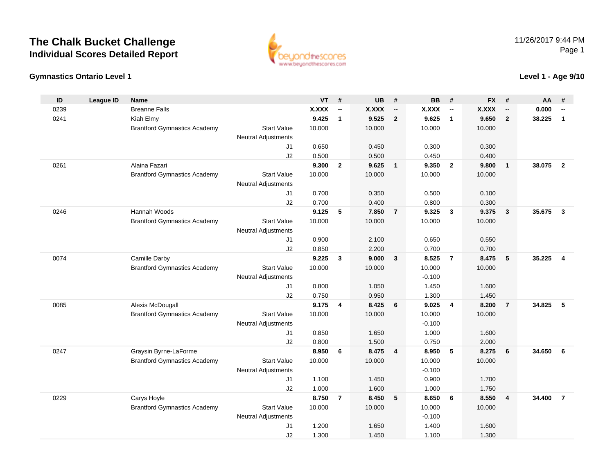## **The Chalk Bucket ChallengeIndividual Scores Detailed Report**



#### **Gymnastics Ontario Level 1**

#### **Level 1 - Age 9/10**

| ID   | <b>League ID</b> | <b>Name</b>                         |                            | <b>VT</b>      | #                        | <b>UB</b>      | #                        | <b>BB</b>      | #                        | <b>FX</b>      | #                        | AA     | #                        |
|------|------------------|-------------------------------------|----------------------------|----------------|--------------------------|----------------|--------------------------|----------------|--------------------------|----------------|--------------------------|--------|--------------------------|
| 0239 |                  | <b>Breanne Falls</b>                |                            | <b>X.XXX</b>   | $\overline{\phantom{a}}$ | <b>X.XXX</b>   | $\overline{\phantom{a}}$ | <b>X.XXX</b>   | $\overline{\phantom{a}}$ | <b>X.XXX</b>   | $\overline{\phantom{a}}$ | 0.000  | $\overline{\phantom{a}}$ |
| 0241 |                  | Kiah Elmy                           |                            | 9.425          | $\mathbf{1}$             | 9.525          | $\overline{2}$           | 9.625          | $\mathbf{1}$             | 9.650          | $\overline{2}$           | 38.225 | $\mathbf{1}$             |
|      |                  | <b>Brantford Gymnastics Academy</b> | <b>Start Value</b>         | 10.000         |                          | 10.000         |                          | 10.000         |                          | 10.000         |                          |        |                          |
|      |                  |                                     | <b>Neutral Adjustments</b> |                |                          |                |                          |                |                          |                |                          |        |                          |
|      |                  |                                     | J <sub>1</sub>             | 0.650          |                          | 0.450          |                          | 0.300          |                          | 0.300          |                          |        |                          |
|      |                  |                                     | J2                         | 0.500          |                          | 0.500          |                          | 0.450          |                          | 0.400          |                          |        |                          |
| 0261 |                  | Alaina Fazari                       |                            | 9.300          | $\overline{2}$           | 9.625          | $\overline{1}$           | 9.350          | $\overline{2}$           | 9.800          | $\mathbf{1}$             | 38.075 | $\overline{2}$           |
|      |                  | <b>Brantford Gymnastics Academy</b> | <b>Start Value</b>         | 10.000         |                          | 10.000         |                          | 10.000         |                          | 10.000         |                          |        |                          |
|      |                  |                                     | <b>Neutral Adjustments</b> |                |                          |                |                          |                |                          |                |                          |        |                          |
|      |                  |                                     | J1                         | 0.700          |                          | 0.350          |                          | 0.500          |                          | 0.100          |                          |        |                          |
|      |                  |                                     | J2                         | 0.700          |                          | 0.400          |                          | 0.800          |                          | 0.300          |                          |        |                          |
| 0246 |                  | Hannah Woods                        |                            | 9.125          | 5                        | 7.850          | $\overline{7}$           | 9.325          | $\mathbf{3}$             | 9.375          | $\mathbf{3}$             | 35.675 | $\mathbf{3}$             |
|      |                  | <b>Brantford Gymnastics Academy</b> | <b>Start Value</b>         | 10.000         |                          | 10.000         |                          | 10.000         |                          | 10.000         |                          |        |                          |
|      |                  |                                     | <b>Neutral Adjustments</b> |                |                          |                |                          |                |                          |                |                          |        |                          |
|      |                  |                                     | J1                         | 0.900          |                          | 2.100          |                          | 0.650          |                          | 0.550          |                          |        |                          |
|      |                  |                                     | J2                         | 0.850          |                          | 2.200          |                          | 0.700          |                          | 0.700          |                          |        |                          |
| 0074 |                  | Camille Darby                       |                            | 9.225          | 3                        | 9.000          | $\mathbf{3}$             | 8.525          | $\overline{7}$           | 8.475          | 5                        | 35.225 | 4                        |
|      |                  | <b>Brantford Gymnastics Academy</b> | <b>Start Value</b>         | 10.000         |                          | 10.000         |                          | 10.000         |                          | 10.000         |                          |        |                          |
|      |                  |                                     | <b>Neutral Adjustments</b> |                |                          |                |                          | $-0.100$       |                          |                |                          |        |                          |
|      |                  |                                     | J <sub>1</sub>             | 0.800          |                          | 1.050          |                          | 1.450          |                          | 1.600          |                          |        |                          |
|      |                  |                                     | J2                         | 0.750          |                          | 0.950          |                          | 1.300          |                          | 1.450          |                          |        |                          |
| 0085 |                  | Alexis McDougall                    |                            | 9.175          | $\overline{\mathbf{4}}$  | 8.425          | 6                        | 9.025          | $\overline{4}$           | 8.200          | $\overline{7}$           | 34.825 | 5                        |
|      |                  | <b>Brantford Gymnastics Academy</b> | <b>Start Value</b>         | 10.000         |                          | 10.000         |                          | 10.000         |                          | 10.000         |                          |        |                          |
|      |                  |                                     | <b>Neutral Adjustments</b> |                |                          |                |                          | $-0.100$       |                          |                |                          |        |                          |
|      |                  |                                     | J <sub>1</sub><br>J2       | 0.850<br>0.800 |                          | 1.650<br>1.500 |                          | 1.000<br>0.750 |                          | 1.600<br>2.000 |                          |        |                          |
| 0247 |                  | Graysin Byrne-LaForme               |                            | 8.950          | 6                        | 8.475          | $\overline{4}$           | 8.950          | 5                        | 8.275          | 6                        | 34.650 | 6                        |
|      |                  | <b>Brantford Gymnastics Academy</b> | <b>Start Value</b>         | 10.000         |                          | 10.000         |                          | 10.000         |                          | 10.000         |                          |        |                          |
|      |                  |                                     | <b>Neutral Adjustments</b> |                |                          |                |                          | $-0.100$       |                          |                |                          |        |                          |
|      |                  |                                     | J <sub>1</sub>             | 1.100          |                          | 1.450          |                          | 0.900          |                          | 1.700          |                          |        |                          |
|      |                  |                                     | J2                         | 1.000          |                          | 1.600          |                          | 1.000          |                          | 1.750          |                          |        |                          |
| 0229 |                  | Carys Hoyle                         |                            | 8.750          | $\overline{7}$           | 8.450          | 5                        | 8.650          | 6                        | 8.550          | 4                        | 34.400 | $\overline{7}$           |
|      |                  | <b>Brantford Gymnastics Academy</b> | <b>Start Value</b>         | 10.000         |                          | 10.000         |                          | 10.000         |                          | 10.000         |                          |        |                          |
|      |                  |                                     | <b>Neutral Adjustments</b> |                |                          |                |                          | $-0.100$       |                          |                |                          |        |                          |
|      |                  |                                     | J <sub>1</sub>             | 1.200          |                          | 1.650          |                          | 1.400          |                          | 1.600          |                          |        |                          |
|      |                  |                                     | J2                         | 1.300          |                          | 1.450          |                          | 1.100          |                          | 1.300          |                          |        |                          |
|      |                  |                                     |                            |                |                          |                |                          |                |                          |                |                          |        |                          |